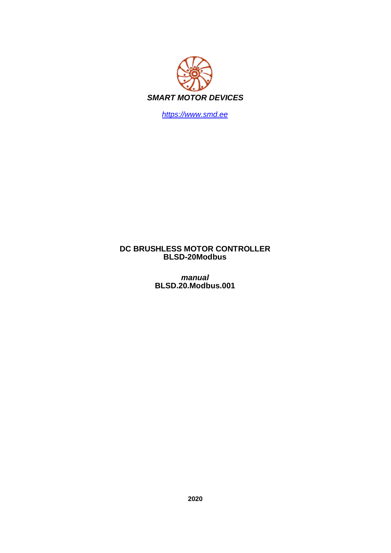

*https://www.smd.ee*

# **DC BRUSHLESS MOTOR CONTROLLER BLSD-20Modbus**

*manual* **BLSD.20.Modbus.001**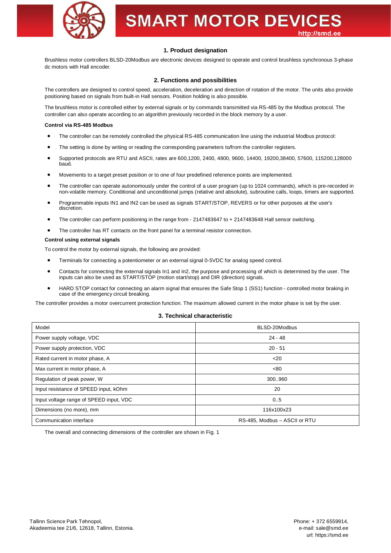

## **1. Product designation**

Brushless motor controllers BLSD-20Modbus are electronic devices designed to operate and control brushless synchronous 3-phase dc motors with Hall encoder.

## **2. Functions and possibilities**

The controllers are designed to control speed, acceleration, deceleration and direction of rotation of the motor. The units also provide positioning based on signals from built-in Hall sensors. Position holding is also possible.

The brushless motor is controlled either by external signals or by commands transmitted via RS-485 by the Modbus protocol. The controller can also operate according to an algorithm previously recorded in the block memory by a user.

## **Control via RS-485 Modbus**

- · The controller can be remotely controlled the physical RS-485 communication line using the industrial Modbus protocol:
- The setting is done by writing or reading the corresponding parameters to/from the controller registers.
- · Supported protocols are RTU and ASCII, rates are 600,1200, 2400, 4800, 9600, 14400, 19200,38400, 57600, 115200,128000 baud.
- · Movements to a target preset position or to one of four predefined reference points are implemented.
- The controller can operate autonomously under the control of a user program (up to 1024 commands), which is pre-recorded in non-volatile memory. Conditional and unconditional jumps (relative and absolute), subroutine calls, loops, timers are supported.
- · Programmable inputs IN1 and IN2 can be used as signals START/STOP, REVERS or for other purposes at the user's discretion.
- The controller can perform positioning in the range from 2147483647 to + 2147483648 Hall sensor switching.
- The controller has RT contacts on the front panel for a terminal resistor connection.

## **Control using external signals**

To control the motor by external signals, the following are provided:

- · Terminals for connecting a potentiometer or an external signal 0-5VDC for analog speed control.
- · Contacts for connecting the external signals In1 and In2, the purpose and processing of which is determined by the user. The inputs can also be used as START/STOP (motion start/stop) and DIR (direction) signals.
- HARD STOP contact for connecting an alarm signal that ensures the Safe Stop 1 (SS1) function controlled motor braking in case of the emergency circuit breaking.

The controller provides a motor overcurrent protection function. The maximum allowed current in the motor phase is set by the user.

## **3. Technical characteristic**

| Model                                   | BLSD-20Modbus                 |
|-----------------------------------------|-------------------------------|
| Power supply voltage, VDC               | $24 - 48$                     |
| Power supply protection, VDC            | $20 - 51$                     |
| Rated current in motor phase, A         | $20$                          |
| Max current in motor phase, A           | <80                           |
| Regulation of peak power, W             | 300960                        |
| Input resistance of SPEED input, kOhm   | 20                            |
| Input voltage range of SPEED input, VDC | 0.5                           |
| Dimensions (no more), mm                | 116x100x23                    |
| Communication interface                 | RS-485, Modbus - ASCII or RTU |

The overall and connecting dimensions of the controller are shown in Fig. 1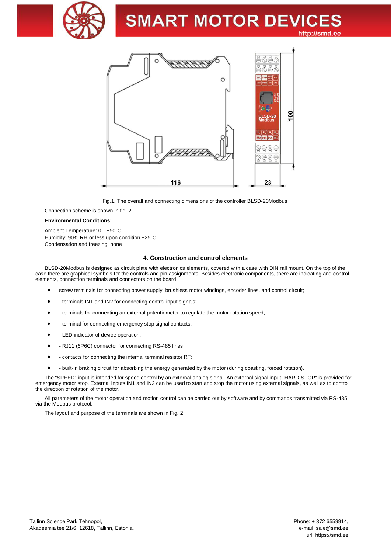



Fig.1. The overall and connecting dimensions of the controller BLSD-20Modbus

Connection scheme is shown in fig. 2

#### **Environmental Conditions:**

Ambient Temperature: 0…+50°C Humidity: 90% RH or less upon condition +25°C Condensation and freezing: none

#### **4. Construction and control elements**

BLSD-20Modbus is designed as circuit plate with electronics elements, covered with a case with DIN rail mount. On the top of the case there are graphical symbols for the controls and pin assignments. Besides electronic components, there are indicating and control elements, connection terminals and connectors on the board:

- screw terminals for connecting power supply, brushless motor windings, encoder lines, and control circuit;
- terminals IN1 and IN2 for connecting control input signals;
- terminals for connecting an external potentiometer to regulate the motor rotation speed;
- terminal for connecting emergency stop signal contacts;
- · LED indicator of device operation;
- RJ11 (6P6C) connector for connecting RS-485 lines;
- · contacts for connecting the internal terminal resistor RT;
- built-in braking circuit for absorbing the energy generated by the motor (during coasting, forced rotation).

The "SPEED" input is intended for speed control by an external analog signal. An external signal input "HARD STOP" is provided for emergency motor stop. External inputs IN1 and IN2 can be used to start and stop the motor using external signals, as well as to control the direction of rotation of the motor.

All parameters of the motor operation and motion control can be carried out by software and by commands transmitted via RS-485 via the Modbus protocol.

The layout and purpose of the terminals are shown in Fig. 2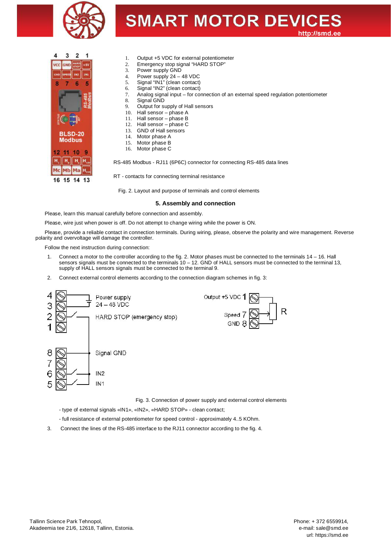



- 1. Output +5 VDC for external potentiometer
- 2. Emergency stop signal "HARD STOP"<br>3. Power supply GND
- Power supply GND
- 4. Power supply 24 48 VDC
- 5. Signal "IN1" (clean contact)
- 6. Signal "IN2" (clean contact)
- 7. Analog signal input for connection of an external speed regulation potentiometer
- 8. Signal GND
- 9. Output for supply of Hall sensors
- 10. Hall sensor phase A
- 11. Hall sensor phase B
- 12. Hall sensor phase C
- 13. GND of Hall sensors<br>14. Motor phase A
- Motor phase A
- 15. Motor phase B
- 16. Motor phase C

RS-485 Modbus - RJ11 (6P6C) connector for connecting RS-485 data lines

RT - contacts for connecting terminal resistance

Fig. 2. Layout and purpose of terminals and control elements

#### **5. Assembly and connection**

Please, learn this manual carefully before connection and assembly.

Please, wire just when power is off. Do not attempt to change wiring while the power is ON.

Please, provide a reliable contact in connection terminals. During wiring, please, observe the polarity and wire management. Reverse polarity and overvoltage will damage the controller.

Follow the next instruction during connection:

- 1. Connect a motor to the controller according to the fig. 2. Motor phases must be connected to the terminals 14 16. Hall sensors signals must be connected to the terminals 10 – 12. GND of HALL sensors must be connected to the terminal 13, supply of HALL sensors signals must be connected to the terminal 9.
- 2. Connect external control elements according to the connection diagram schemes in fig. 3:



Fig. 3. Connection of power supply and external control elements

- type of external signals «IN1», «IN2», «HARD STOP» clean contact;
- full resistance of external potentiometer for speed control approximately 4..5 KOhm.
- 3. Connect the lines of the RS-485 interface to the RJ11 connector according to the fig. 4.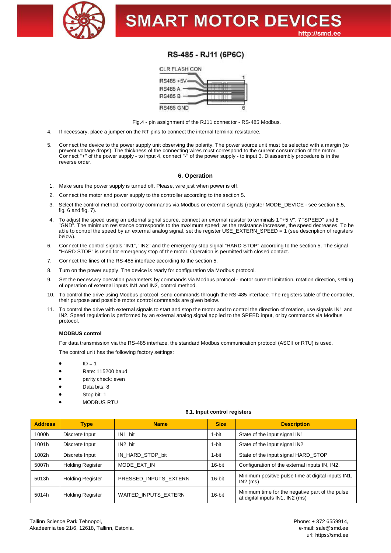

# RS-485 - RJ11 (6P6C)



Fig.4 - pin assignment of the RJ11 connector - RS-485 Modbus.

- 4. If necessary, place a jumper on the RT pins to connect the internal terminal resistance.
- 5. Connect the device to the power supply unit observing the polarity. The power source unit must be selected with a margin (to prevent voltage drops). The thickness of the connecting wires must correspond to the current consumption of the motor. Connect "+" of the power supply - to input 4, connect "-" of the power supply - to input 3. Disassembly procedure is in the reverse order.

## **6. Operation**

- 1. Make sure the power supply is turned off. Please, wire just when power is off.
- 2. Connect the motor and power supply to the controller according to the section 5.
- 3. Select the control method: control by commands via Modbus or external signals (register MODE\_DEVICE see section 6.5, fig. 6 and fig. 7).
- 4. To adjust the speed using an external signal source, connect an external resistor to terminals 1 "+5 V", 7 "SPEED" and 8 "GND". The minimum resistance corresponds to the maximum speed; as the resistance increases, the speed decreases. To be able to control the speed by an external analog signal, set the register USE\_EXTERN\_SPEED = 1 (see description of registers below).
- 6. Connect the control signals "IN1", "IN2" and the emergency stop signal "HARD STOP" according to the section 5. The signal "HARD STOP" is used for emergency stop of the motor. Operation is permitted with closed contact.
- 7. Connect the lines of the RS-485 interface according to the section 5.
- 8. Turn on the power supply. The device is ready for configuration via Modbus protocol.
- 9. Set the necessary operation parameters by commands via Modbus protocol motor current limitation, rotation direction, setting of operation of external inputs IN1 and IN2, control method.
- 10. To control the drive using Modbus protocol, send commands through the RS-485 interface. The registers table of the controller, their purpose and possible motor control commands are given below.
- 11. To control the drive with external signals to start and stop the motor and to control the direction of rotation, use signals IN1 and IN2. Speed regulation is performed by an external analog signal applied to the SPEED input, or by commands via Modbus protocol.

## **MODBUS control**

For data transmission via the RS-485 interface, the standard Modbus communication protocol (ASCII or RTU) is used.

The control unit has the following factory settings:

- $ID = 1$
- · Rate: 115200 baud
- parity check: even
- Data bits: 8
- Stop bit: 1
- · MODBUS RTU

#### **6.1. Input control registers**

| <b>Address</b> | <b>Type</b>             | <b>Description</b><br><b>Size</b><br><b>Name</b> |        |                                                                                    |  |
|----------------|-------------------------|--------------------------------------------------|--------|------------------------------------------------------------------------------------|--|
| 1000h          | Discrete Input          | IN1 bit                                          | 1-bit  | State of the input signal IN1                                                      |  |
| 1001h          | Discrete Input          | IN2 bit                                          | 1-bit  | State of the input signal IN2                                                      |  |
| 1002h          | Discrete Input          | IN HARD STOP bit                                 | 1-bit  | State of the input signal HARD STOP                                                |  |
| 5007h          | <b>Holding Register</b> | MODE EXT IN                                      | 16-bit | Configuration of the external inputs IN, IN2.                                      |  |
| 5013h          | <b>Holding Register</b> | PRESSED INPUTS EXTERN                            | 16-bit | Minimum positive pulse time at digital inputs IN1,<br>$IN2$ (ms)                   |  |
| 5014h          | <b>Holding Register</b> | <b>WAITED INPUTS EXTERN</b>                      | 16-bit | Minimum time for the negative part of the pulse<br>at digital inputs IN1, IN2 (ms) |  |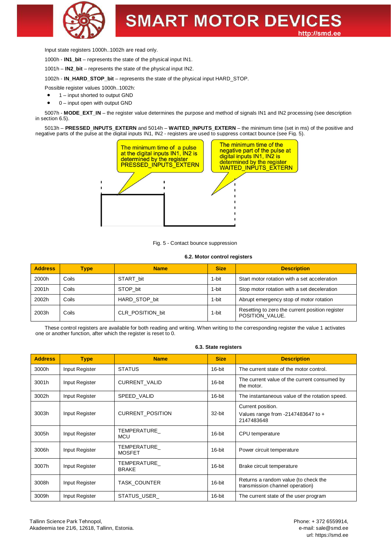

Input state registers 1000h..1002h are read only.

1000h - **IN1\_bit** – represents the state of the physical input IN1.

1001h – **IN2\_bit** – represents the state of the physical input IN2.

1002h - **IN\_HARD\_STOP\_bit** – represents the state of the physical input HARD\_STOP.

Possible register values 1000h..1002h:

- 1 input shorted to output GND
- $0$  input open with output GND

5007h - MODE EXT IN – the register value determines the purpose and method of signals IN1 and IN2 processing (see description in section 6.5).

5013h – **PRESSED\_INPUTS\_EXTERN** and 5014h – **WAITED\_INPUTS\_EXTERN** – the minimum time (set in ms) of the positive and negative parts of the pulse at the digital inputs IN1, IN2 - registers are used to suppress contact bounce (see Fig. 5).



Fig. 5 - Contact bounce suppression

## **6.2. Motor control registers**

| <b>Address</b> | <b>Size</b><br><b>Description</b><br><b>Name</b><br>Type |                  |       |                                                                    |  |
|----------------|----------------------------------------------------------|------------------|-------|--------------------------------------------------------------------|--|
| 2000h          | Coils                                                    | START bit        | 1-bit | Start motor rotation with a set acceleration                       |  |
| 2001h          | Coils                                                    | STOP bit         | 1-bit | Stop motor rotation with a set deceleration                        |  |
| 2002h          | Coils                                                    | HARD STOP bit    | 1-bit | Abrupt emergency stop of motor rotation                            |  |
| 2003h          | Coils                                                    | CLR POSITION bit | 1-bit | Resetting to zero the current position register<br>POSITION VALUE. |  |

These control registers are available for both reading and writing. When writing to the corresponding register the value 1 activates one or another function, after which the register is reset to 0.

#### **6.3. State registers**

| <b>Address</b> | <b>Type</b>    | <b>Name</b>                  | <b>Size</b> | <b>Description</b>                                                        |  |
|----------------|----------------|------------------------------|-------------|---------------------------------------------------------------------------|--|
| 3000h          | Input Register | <b>STATUS</b>                | 16-bit      | The current state of the motor control.                                   |  |
| 3001h          | Input Register | <b>CURRENT VALID</b>         | 16-bit      | The current value of the current consumed by<br>the motor.                |  |
| 3002h          | Input Register | SPEED VALID                  | 16-bit      | The instantaneous value of the rotation speed.                            |  |
| 3003h          | Input Register | <b>CURRENT POSITION</b>      | 32-bit      | Current position.<br>Values range from $-2147483647$ to $+$<br>2147483648 |  |
| 3005h          | Input Register | TEMPERATURE<br><b>MCU</b>    | 16-bit      | CPU temperature                                                           |  |
| 3006h          | Input Register | TEMPERATURE<br><b>MOSFET</b> | 16-bit      | Power circuit temperature                                                 |  |
| 3007h          | Input Register | TEMPERATURE<br><b>BRAKE</b>  | 16-bit      | Brake circuit temperature                                                 |  |
| 3008h          | Input Register | <b>TASK COUNTER</b>          | 16-bit      | Returns a random value (to check the<br>transmission channel operation)   |  |
| 3009h          | Input Register | STATUS_USER_                 | 16-bit      | The current state of the user program                                     |  |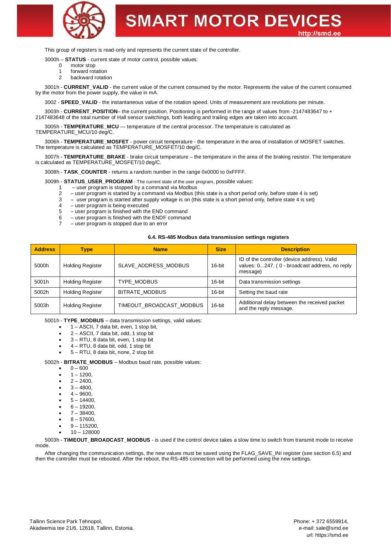

This group of registers is read-only and represents the current state of the controller.

3000h – **STATUS** - current state of motor control, possible values:

- 0 motor stop
	- 1 forward rotation
	- 2 backward rotation

3001h - **CURRENT\_VALID** - the current value of the current consumed by the motor. Represents the value of the current consumed by the motor from the power supply, the value in mA.

3002 - **SPEED\_VALID** - the instantaneous value of the rotation speed. Units of measurement are revolutions per minute.

3003h - **CURRENT\_POSITION**– the current position. Positioning is performed in the range of values from -2147483647 to + 2147483648 of the total number of Hall sensor switchings, both leading and trailing edges are taken into account.

3005h - **TEMPERATURE\_MCU** — temperature of the central processor. The temperature is calculated as

TEMPERATURE\_MCU/10 deg/C.

3006h - **TEMPERATURE\_MOSFET** - power circuit temperature - the temperature in the area of installation of MOSFET switches. The temperature is calculated as TEMPERATURE\_MOSFET/10 deg/C.

3007h - **TEMPERATURE\_BRAKE** - brake circuit temperature – the temperature in the area of the braking resistor. The temperature is calculated as TEMPERATURE\_MOSFET/10 deg/C.

3008h - **TASK\_COUNTER** - returns a random number in the range 0x0000 to 0xFFFF.

3009h - **STATUS USER\_PROGRAM** - The current state of the user program, possible values:

- user program is stopped by a command via Modbus
- 2 user program is started by a command via Modbus (this state is a short period only, before state 4 is set)
- 3 user program is started after supply voltage is on (this state is a short period only, before state 4 is set)
- $4 -$ user program is being executed<br> $5 -$ user program is finished with the
- user program is finished with the END command
- 6 user program is finished with the ENDF command
- user program is stopped due to an error

#### **6.4. RS-485 Modbus data transmission settings registers**

| <b>Address</b> | <b>Type</b>             | <b>Name</b>                     | <b>Size</b>                                                                                                          | <b>Description</b>         |
|----------------|-------------------------|---------------------------------|----------------------------------------------------------------------------------------------------------------------|----------------------------|
| 5000h          | <b>Holding Register</b> | SLAVE ADDRESS MODBUS            | ID of the controller (device address). Valid<br>values: 0247. (0 - broadcast address, no reply<br>16-bit<br>message) |                            |
| 5001h          | <b>Holding Register</b> | <b>TYPE MODBUS</b>              | 16-bit                                                                                                               | Data transmission settings |
| 5002h          | <b>Holding Register</b> | <b>BITRATE MODBUS</b><br>16-bit |                                                                                                                      | Setting the baud rate      |
| 5003h          | <b>Holding Register</b> | TIMEOUT BROADCAST MODBUS        | Additional delay between the received packet<br>16-bit<br>and the reply message.                                     |                            |

5001h - **TYPE\_MODBUS** – data transmission settings, valid values:

- · 1 ASCII, 7 data bit, even, 1 stop bit,
- · 2 ASCII, 7 data bit, odd, 1 stop bit
- 3 RTU, 8 data bit, even, 1 stop bit
- · 4 RTU, 8 data bit, odd, 1 stop bit
- · 5 RTU, 8 data bit, none, 2 stop bit

5002h - **BITRATE\_MODBUS** – Modbus baud rate, possible values:

- $0 600$
- $1 1200$
- $2 2400$
- $3 4800$
- $4 9600$
- $5 14400$ .
- $6 19200$
- $7 38400,$
- $8 57600$
- $9 115200$
- · 10 128000

5003h - **TIMEOUT\_BROADCAST\_MODBUS** - is used if the control device takes a slow time to switch from transmit mode to receive mode.

After changing the communication settings, the new values must be saved using the FLAG\_SAVE\_INI register (see section 6.5) and then the controller must be rebooted. After the reboot, the RS-485 connection will be performed using the new settings.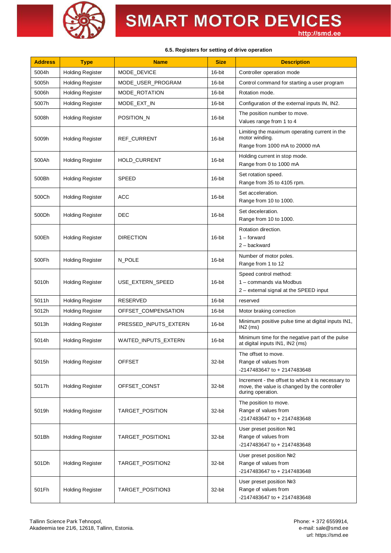

#### **6.5. Registers for setting of drive operation**

| <b>Address</b> | <b>Type</b>             | <b>Name</b>           | <b>Size</b> | <b>Description</b>                                                                                                      |  |
|----------------|-------------------------|-----------------------|-------------|-------------------------------------------------------------------------------------------------------------------------|--|
| 5004h          | <b>Holding Register</b> | MODE_DEVICE           | 16-bit      | Controller operation mode                                                                                               |  |
| 5005h          | <b>Holding Register</b> | MODE_USER_PROGRAM     | 16-bit      | Control command for starting a user program                                                                             |  |
| 5006h          | <b>Holding Register</b> | MODE_ROTATION         | 16-bit      | Rotation mode.                                                                                                          |  |
| 5007h          | <b>Holding Register</b> | MODE EXT IN           | 16-bit      | Configuration of the external inputs IN, IN2.                                                                           |  |
| 5008h          | <b>Holding Register</b> | POSITION_N            | 16-bit      | The position number to move.<br>Values range from 1 to 4                                                                |  |
| 5009h          | <b>Holding Register</b> | REF_CURRENT           | 16-bit      | Limiting the maximum operating current in the<br>motor winding.<br>Range from 1000 mA to 20000 mA                       |  |
| 500Ah          | <b>Holding Register</b> | <b>HOLD_CURRENT</b>   | 16-bit      | Holding current in stop mode.<br>Range from 0 to 1000 mA                                                                |  |
| 500Bh          | <b>Holding Register</b> | <b>SPEED</b>          | 16-bit      | Set rotation speed.<br>Range from 35 to 4105 rpm.                                                                       |  |
| 500Ch          | <b>Holding Register</b> | <b>ACC</b>            | 16-bit      | Set acceleration.<br>Range from 10 to 1000.                                                                             |  |
| 500Dh          | <b>Holding Register</b> | DEC                   | 16-bit      | Set deceleration.<br>Range from 10 to 1000.                                                                             |  |
| 500Eh          | <b>Holding Register</b> | <b>DIRECTION</b>      | 16-bit      | Rotation direction.<br>$1 -$ forward<br>$2 -$ backward                                                                  |  |
| 500Fh          | <b>Holding Register</b> | N_POLE                | 16-bit      | Number of motor poles.<br>Range from 1 to 12                                                                            |  |
| 5010h          | <b>Holding Register</b> | USE_EXTERN_SPEED      | 16-bit      | Speed control method:<br>1 - commands via Modbus<br>2 - external signal at the SPEED input                              |  |
| 5011h          | <b>Holding Register</b> | RESERVED              | 16-bit      | reserved                                                                                                                |  |
| 5012h          | <b>Holding Register</b> | OFFSET_COMPENSATION   | 16-bit      | Motor braking correction                                                                                                |  |
| 5013h          | <b>Holding Register</b> | PRESSED INPUTS EXTERN | 16-bit      | Minimum positive pulse time at digital inputs IN1,<br>$IN2$ (ms)                                                        |  |
| 5014h          | <b>Holding Register</b> | WAITED_INPUTS_EXTERN  | 16-bit      | Minimum time for the negative part of the pulse<br>at digital inputs IN1, IN2 (ms)                                      |  |
| 5015h          | <b>Holding Register</b> | <b>OFFSET</b>         | 32-bit      | The offset to move.<br>Range of values from<br>-2147483647 to + 2147483648                                              |  |
| 5017h          | <b>Holding Register</b> | OFFSET CONST          | 32-bit      | Increment - the offset to which it is necessary to<br>move, the value is changed by the controller<br>during operation. |  |
| 5019h          | <b>Holding Register</b> | TARGET_POSITION       | 32-bit      | The position to move.<br>Range of values from<br>-2147483647 to + 2147483648                                            |  |
| 501Bh          | <b>Holding Register</b> | TARGET_POSITION1      | 32-bit      | User preset position Nº1<br>Range of values from<br>-2147483647 to + 2147483648                                         |  |
| 501Dh          | <b>Holding Register</b> | TARGET_POSITION2      | 32-bit      | User preset position No <sub>2</sub><br>Range of values from<br>-2147483647 to + 2147483648                             |  |
| 501Fh          | <b>Holding Register</b> | TARGET_POSITION3      | 32-bit      | User preset position No <sub>2</sub><br>Range of values from<br>-2147483647 to + 2147483648                             |  |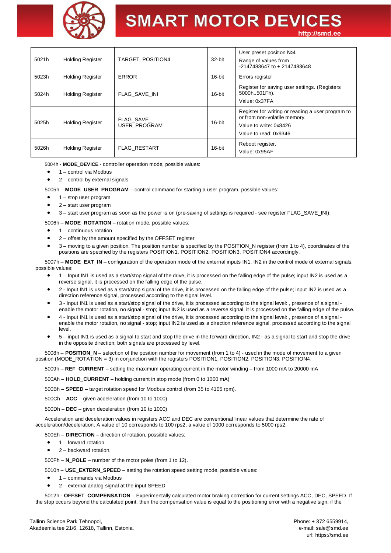

# **SMART MOTOR DEVICES**

http://smd.ee

| 5021h | <b>Holding Register</b> | TARGET POSITION4          | 32-bit | User preset position Nº4<br>Range of values from<br>-2147483647 to + 2147483648                                                      |
|-------|-------------------------|---------------------------|--------|--------------------------------------------------------------------------------------------------------------------------------------|
| 5023h | <b>Holding Register</b> | <b>ERROR</b>              | 16-bit | Errors register                                                                                                                      |
| 5024h | <b>Holding Register</b> | <b>FLAG SAVE INI</b>      | 16-bit | Register for saving user settings. (Registers<br>5000h501Fh).<br>Value: 0x37FA                                                       |
| 5025h | <b>Holding Register</b> | FLAG SAVE<br>USER PROGRAM | 16-bit | Register for writing or reading a user program to<br>or from non-volatile memory.<br>Value to write: 0x8426<br>Value to read: 0x9346 |
| 5026h | <b>Holding Register</b> | <b>FLAG RESTART</b>       | 16-bit | Reboot register.<br>Value: 0x95AF                                                                                                    |

5004h - **MODE\_DEVICE** - controller operation mode, possible values:

- · 1 control via Modbus
- 2 control by external signals

5005h – **MODE\_USER\_PROGRAM** – control command for starting a user program, possible values:

- · 1 stop user program
- · 2 start user program
- · 3 start user program as soon as the power is on (pre-saving of settings is required see register FLAG\_SAVE\_INI).

5006h – **MODE\_ROTATION** – rotation mode, possible values:

- · 1 continuous rotation
- · 2 offset by the amount specified by the OFFSET register
- · 3 moving to a given position. The position number is specified by the POSITION\_N register (from 1 to 4), coordinates of the positions are specified by the registers POSITION1, POSITION2, POSITION3, POSITION4 accordingly.

5007h – **MODE\_EXT\_IN** – configuration of the operation mode of the external inputs IN1, IN2 in the control mode of external signals, possible values:

- · 1 Input IN1 is used as a start/stop signal of the drive, it is processed on the falling edge of the pulse; input IN2 is used as a reverse signal, it is processed on the falling edge of the pulse.
- · 2 Input IN1 is used as a start/stop signal of the drive, it is processed on the falling edge of the pulse; input IN2 is used as a direction reference signal, processed according to the signal level.
- · 3 Input IN1 is used as a start/stop signal of the drive, it is processed according to the signal level: , presence of a signal enable the motor rotation, no signal - stop; input IN2 is used as a reverse signal, it is processed on the falling edge of the pulse.
- · 4 Input IN1 is used as a start/stop signal of the drive, it is processed according to the signal level: , presence of a signal enable the motor rotation, no signal - stop; input IN2 is used as a direction reference signal, processed according to the signal level.
- · 5 input IN1 is used as a signal to start and stop the drive in the forward direction, IN2 as a signal to start and stop the drive in the opposite direction; both signals are processed by level.

5008h – **POSITION\_N** – selection of the position number for movement (from 1 to 4) - used in the mode of movement to a given position (MODE\_ROTATION = 3) in conjunction with the registers POSITION1, POSITION2, POSITION3, POSITION4.

5009h – **REF\_CURRENT** – setting the maximum operating current in the motor winding – from 1000 mA to 20000 mA

500Ah – **HOLD\_CURRENT** – holding current in stop mode (from 0 to 1000 mA)

500Bh – **SPEED** – target rotation speed for Modbus control (from 35 to 4105 rpm).

500Ch – **ACC** – given acceleration (from 10 to 1000)

500Dh – **DEC** – given deceleration (from 10 to 1000)

Acceleration and deceleration values in registers ACC and DEC are conventional linear values that determine the rate of acceleration/deceleration. A value of 10 corresponds to 100 rps2, a value of 1000 corresponds to 5000 rps2.

500Eh – **DIRECTION** – direction of rotation, possible values:

- · 1 forward rotation
- 2 backward rotation.

500Fh – **N\_POLE** – number of the motor poles (from 1 to 12).

- 5010h **USE\_EXTERN\_SPEED** setting the rotation speed setting mode, possible values:
- · 1 commands via Modbus
- · 2 external analog signal at the input SPEED

5012h - **OFFSET\_COMPENSATION** – Experimentally calculated motor braking correction for current settings ACC, DEC, SPEED. If the stop occurs beyond the calculated point, then the compensation value is equal to the positioning error with a negative sign, if the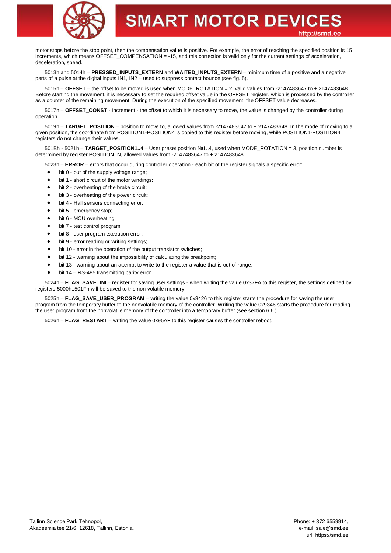

motor stops before the stop point, then the compensation value is positive. For example, the error of reaching the specified position is 15 increments, which means OFFSET\_COMPENSATION = -15, and this correction is valid only for the current settings of acceleration, deceleration, speed.

5013h and 5014h – PRESSED INPUTS EXTERN and WAITED INPUTS EXTERN – minimum time of a positive and a negative parts of a pulse at the digital inputs IN1, IN2 – used to suppress contact bounce (see fig. 5).

5015h – **OFFSET** – the offset to be moved is used when MODE\_ROTATION = 2, valid values from -2147483647 to + 2147483648. Before starting the movement, it is necessary to set the required offset value in the OFFSET register, which is processed by the controller as a counter of the remaining movement. During the execution of the specified movement, the OFFSET value decreases.

5017h – **OFFSET\_CONST** - Increment - the offset to which it is necessary to move, the value is changed by the controller during operation.

5019h – **TARGET\_POSITION** – position to move to, allowed values from -2147483647 to + 2147483648. In the mode of moving to a given position, the coordinate from POSITION1-POSITION4 is copied to this register before moving, while POSITION1-POSITION4 registers do not change their values.

501Bh - 5021h – **TARGET\_POSITION1..4** – User preset position №1..4, used when MODE\_ROTATION = 3, position number is determined by register POSITION\_N, allowed values from -2147483647 to + 2147483648.

5023h – **ERROR** – errors that occur during controller operation - each bit of the register signals a specific error:

- bit 0 out of the supply voltage range:
- bit 1 short circuit of the motor windings;
- bit 2 overheating of the brake circuit;
- bit 3 overheating of the power circuit;
- bit 4 Hall sensors connecting error;
- bit 5 emergency stop;
- bit 6 MCU overheating;
- bit 7 test control program;
- bit 8 user program execution error;
- bit 9 error reading or writing settings:
- bit 10 error in the operation of the output transistor switches:
- bit 12 warning about the impossibility of calculating the breakpoint;
- bit 13 warning about an attempt to write to the register a value that is out of range;
- bit 14 RS-485 transmitting parity error

5024h – **FLAG\_SAVE\_INI** – register for saving user settings - when writing the value 0x37FA to this register, the settings defined by registers 5000h..501Fh will be saved to the non-volatile memory.

5025h – **FLAG\_SAVE\_USER\_PROGRAM** – writing the value 0x8426 to this register starts the procedure for saving the user program from the temporary buffer to the nonvolatile memory of the controller. Writing the value 0x9346 starts the procedure for reading the user program from the nonvolatile memory of the controller into a temporary buffer (see section 6.6.).

5026h – **FLAG\_RESTART** – writing the value 0x95AF to this register causes the controller reboot.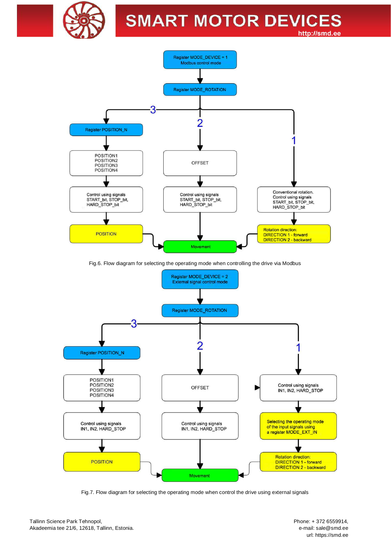



Fig.6. Flow diagram for selecting the operating mode when controlling the drive via Modbus



Fig.7. Flow diagram for selecting the operating mode when control the drive using external signals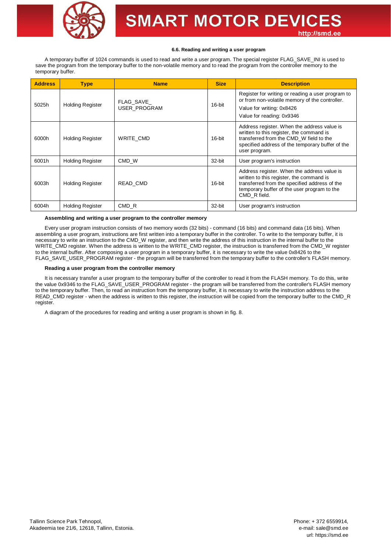

#### **6.6. Reading and writing a user program**

A temporary buffer of 1024 commands is used to read and write a user program. The special register FLAG\_SAVE\_INI is used to save the program from the temporary buffer to the non-volatile memory and to read the program from the controller memory to the temporary buffer.

| <b>Address</b> | <b>Type</b>             | <b>Name</b>                      | <b>Size</b> | <b>Description</b>                                                                                                                                                                                      |  |
|----------------|-------------------------|----------------------------------|-------------|---------------------------------------------------------------------------------------------------------------------------------------------------------------------------------------------------------|--|
| 5025h          | <b>Holding Register</b> | FLAG SAVE<br><b>USER PROGRAM</b> | 16-bit      | Register for writing or reading a user program to<br>or from non-volatile memory of the controller.<br>Value for writing: 0x8426<br>Value for reading: 0x9346                                           |  |
| 6000h          | <b>Holding Register</b> | WRITE CMD                        | 16-bit      | Address register. When the address value is<br>written to this register, the command is<br>transferred from the CMD_W field to the<br>specified address of the temporary buffer of the<br>user program. |  |
| 6001h          | <b>Holding Register</b> | CMD W                            | 32-bit      | User program's instruction                                                                                                                                                                              |  |
| 6003h          | <b>Holding Register</b> | READ_CMD                         | 16-bit      | Address register. When the address value is<br>written to this register, the command is<br>transferred from the specified address of the<br>temporary buffer of the user program to the<br>CMD R field. |  |
| 6004h          | <b>Holding Register</b> | CMD R                            | 32-bit      | User program's instruction                                                                                                                                                                              |  |

## **Assembling and writing a user program to the controller memory**

Every user program instruction consists of two memory words (32 bits) - command (16 bits) and command data (16 bits). When assembling a user program, instructions are first written into a temporary buffer in the controller. To write to the temporary buffer, it is necessary to write an instruction to the CMD\_W register, and then write the address of this instruction in the internal buffer to the WRITE\_CMD register. When the address is written to the WRITE\_CMD register, the instruction is transferred from the CMD\_W register to the internal buffer. After composing a user program in a temporary buffer, it is necessary to write the value 0x8426 to the FLAG\_SAVE\_USER\_PROGRAM register - the program will be transferred from the temporary buffer to the controller's FLASH memory.

#### **Reading a user program from the controller memory**

It is necessary transfer a user program to the temporary buffer of the controller to read it from the FLASH memory. To do this, write the value 0x9346 to the FLAG\_SAVE\_USER\_PROGRAM register - the program will be transferred from the controller's FLASH memory to the temporary buffer. Then, to read an instruction from the temporary buffer, it is necessary to write the instruction address to the READ\_CMD register - when the address is written to this register, the instruction will be copied from the temporary buffer to the CMD\_R register.

A diagram of the procedures for reading and writing a user program is shown in fig. 8.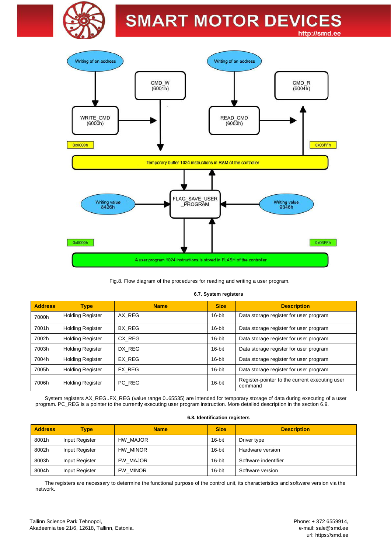



Fig.8. Flow diagram of the procedures for reading and writing a user program.

#### **6.7. System registers**

| <b>Address</b> | <b>Type</b>             | <b>Name</b> | <b>Size</b> | <b>Description</b>                                        |  |  |
|----------------|-------------------------|-------------|-------------|-----------------------------------------------------------|--|--|
| 7000h          | <b>Holding Register</b> | AX REG      | 16-bit      | Data storage register for user program                    |  |  |
| 7001h          | <b>Holding Register</b> | BX REG      | 16-bit      | Data storage register for user program                    |  |  |
| 7002h          | <b>Holding Register</b> | CX REG      | 16-bit      | Data storage register for user program                    |  |  |
| 7003h          | <b>Holding Register</b> | DX REG      | 16-bit      | Data storage register for user program                    |  |  |
| 7004h          | <b>Holding Register</b> | EX REG      | 16-bit      | Data storage register for user program                    |  |  |
| 7005h          | <b>Holding Register</b> | FX REG      | 16-bit      | Data storage register for user program                    |  |  |
| 7006h          | <b>Holding Register</b> | PC REG      | 16-bit      | Register-pointer to the current executing user<br>command |  |  |

System registers AX\_REG..FX\_REG (value range 0..65535) are intended for temporary storage of data during executing of a user program. PC\_REG is a pointer to the currently executing user program instruction. More detailed description in the section 6.9.

#### **6.8. Identification registers**

| <b>Address</b> | <b>Type</b>    | <b>Name</b>     | <b>Size</b> | <b>Description</b>   |
|----------------|----------------|-----------------|-------------|----------------------|
| 8001h          | Input Register | HW MAJOR        | 16-bit      | Driver type          |
| 8002h          | Input Register | <b>HW MINOR</b> | 16-bit      | Hardware version     |
| 8003h          | Input Register | FW MAJOR        | 16-bit      | Software indentifier |
| 8004h          | Input Register | FW MINOR        | 16-bit      | Software version     |

The registers are necessary to determine the functional purpose of the control unit, its characteristics and software version via the network.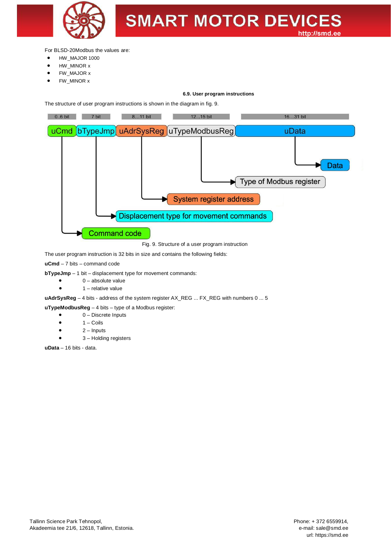

For BLSD-20Modbus the values are:

- · HW\_MAJOR 1000
- HW\_MINOR x
- · FW\_MAJOR x
- FW\_MINOR x

## **6.9. User program instructions**

The structure of user program instructions is shown in the diagram in fig. 9.



Fig. 9. Structure of a user program instruction

The user program instruction is 32 bits in size and contains the following fields:

**uCmd** – 7 bits – command code

**bTypeJmp** – 1 bit – displacement type for movement commands:

- $\bullet$  0 absolute value
- $\bullet$  1 relative value

uAdrSysReg - 4 bits - address of the system register AX\_REG ... FX\_REG with numbers 0 ... 5

**uTypeModbusReg** – 4 bits – type of a Modbus register:

- 0 Discrete Inputs
- $1 \text{Coils}$
- $2 -$  Inputs
- 3 Holding registers

**uData** – 16 bits - data.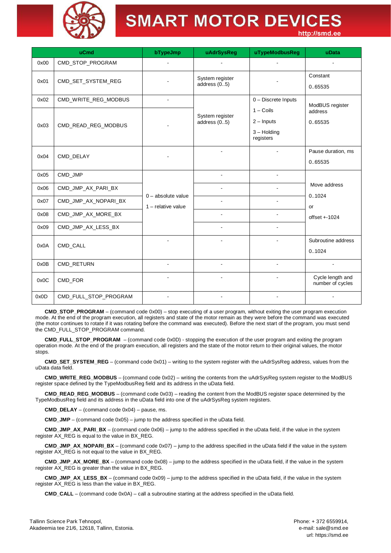

|      | uCmd                  | bTypeJmp             | uAdrSysReg                        | uTypeModbusReg                                                   | uData                                |
|------|-----------------------|----------------------|-----------------------------------|------------------------------------------------------------------|--------------------------------------|
| 0x00 | CMD_STOP_PROGRAM      |                      |                                   |                                                                  |                                      |
| 0x01 | CMD_SET_SYSTEM_REG    |                      | System register<br>address $(05)$ |                                                                  | Constant<br>0.65535                  |
| 0x02 | CMD_WRITE_REG_MODBUS  |                      |                                   | 0 - Discrete Inputs                                              | ModBUS register                      |
| 0x03 | CMD_READ_REG_MODBUS   |                      | System register<br>address $(05)$ | $1 - \text{Coils}$<br>$2 -$ Inputs<br>$3 -$ Holding<br>registers | address<br>0.65535                   |
| 0x04 | CMD_DELAY             |                      |                                   |                                                                  | Pause duration, ms<br>0.65535        |
| 0x05 | CMD_JMP               |                      |                                   |                                                                  |                                      |
| 0x06 | CMD_JMP_AX_PARI_BX    | $0 -$ absolute value |                                   |                                                                  | Move address<br>0.1024               |
| 0x07 | CMD_JMP_AX_NOPARI_BX  | $1$ – relative value |                                   |                                                                  | or                                   |
| 0x08 | CMD_JMP_AX_MORE_BX    |                      |                                   | $\blacksquare$                                                   | $offset + 1024$                      |
| 0x09 | CMD_JMP_AX_LESS_BX    |                      | $\blacksquare$                    |                                                                  |                                      |
| 0x0A | CMD_CALL              |                      |                                   |                                                                  | Subroutine address<br>0.1024         |
| 0x0B | CMD_RETURN            |                      |                                   |                                                                  |                                      |
| 0x0C | CMD_FOR               |                      |                                   |                                                                  | Cycle length and<br>number of cycles |
| 0x0D | CMD_FULL_STOP_PROGRAM |                      |                                   |                                                                  |                                      |

**CMD\_STOP\_PROGRAM** – (command code 0x00) – stop executing of a user program, without exiting the user program execution mode. At the end of the program execution, all registers and state of the motor remain as they were before the command was executed (the motor continues to rotate if it was rotating before the command was executed). Before the next start of the program, you must send the CMD\_FULL\_STOP\_PROGRAM command.

**CMD\_FULL\_STOP\_PROGRAM** – (command code 0x0D) - stopping the execution of the user program and exiting the program operation mode. At the end of the program execution, all registers and the state of the motor return to their original values, the motor stops.

**CMD\_SET\_SYSTEM\_REG** – (command code 0x01) – writing to the system register with the uAdrSysReg address, values from the uData data field.

**CMD\_WRITE\_REG\_MODBUS** – (command code 0x02) – writing the contents from the uAdrSysReg system register to the ModBUS register space defined by the TypeModbusReg field and its address in the uData field.

**CMD\_READ\_REG\_MODBUS** – (command code 0x03) – reading the content from the ModBUS register space determined by the TypeModbusReg field and its address in the uData field into one of the uAdrSysReg system registers.

**CMD\_DELAY** – (command code 0x04) – pause, ms.

**CMD\_JMP** – (command code 0x05) – jump to the address specified in the uData field.

**CMD\_JMP\_AX\_PARI\_BX** – (command code 0x06) – jump to the address specified in the uData field, if the value in the system register AX\_REG is equal to the value in BX\_REG.

**CMD\_JMP\_AX\_NOPARI\_BX** – (command code 0x07) – jump to the address specified in the uData field if the value in the system register AX\_REG is not equal to the value in BX\_REG.

**CMD\_JMP\_AX\_MORE\_BX** – (command code 0x08) – jump to the address specified in the uData field, if the value in the system register AX\_REG is greater than the value in BX\_REG.

**CMD\_JMP\_AX\_LESS\_BX** – (command code 0x09) – jump to the address specified in the uData field, if the value in the system register AX\_REG is less than the value in BX\_REG.

**CMD\_CALL** – (command code 0x0A) – call a subroutine starting at the address specified in the uData field.